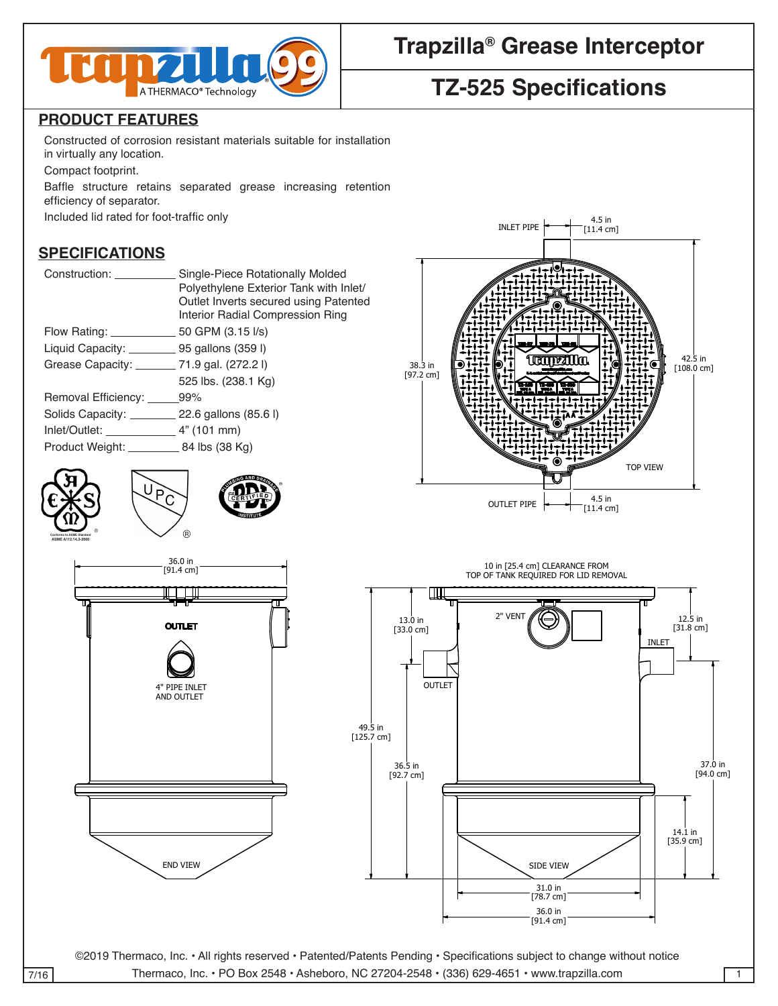

# **Trapzilla® Grease Interceptor**

## **TZ-525 Specifications**